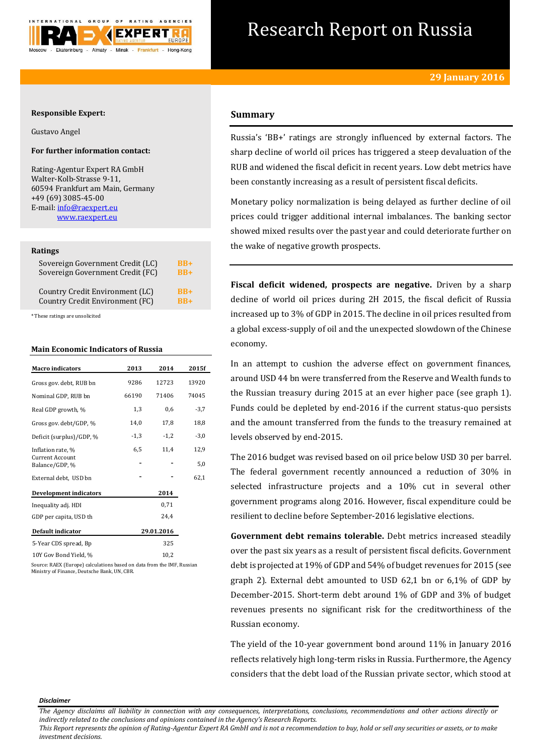

# Research Report on Russia

## **Responsible Expert:**

Gustavo Angel

# **For further information contact:**

Rating-Agentur Expert RA GmbH Walter-Kolb-Strasse 9-11, 60594 Frankfurt am Main, Germany +49 (69) 3085-45-00 E-mail[: info@raexpert.eu](mailto:info@raexpert.eu) [www.raexpert.eu](http://raexpert.eu/)

### **Ratings**

| Sovereign Government Credit (LC) | $RB+$ |
|----------------------------------|-------|
| Sovereign Government Credit (FC) | $RB+$ |
| Country Credit Environment (LC)  | $RB+$ |
| Country Credit Environment (FC)  | $RR+$ |

\* These ratings are unsolicited

## **Main Economic Indicators of Russia**

| <b>Macro indicators</b>           | 2013   | 2014       | 2015f  |
|-----------------------------------|--------|------------|--------|
|                                   |        |            |        |
| Gross gov. debt, RUB bn           | 9286   | 12723      | 13920  |
| Nominal GDP, RUB bn               | 66190  | 71406      | 74045  |
| Real GDP growth, %                | 1,3    | 0,6        | $-3,7$ |
| Gross gov. debt/GDP, %            | 14,0   | 17,8       | 18,8   |
| Deficit (surplus)/GDP, %          | $-1,3$ | $-1,2$     | $-3,0$ |
| Inflation rate, %                 | 6,5    | 11,4       | 12,9   |
| Current Account<br>Balance/GDP, % |        |            | 5,0    |
| External debt, USD bn             |        |            | 62,1   |
| <b>Development indicators</b>     |        | 2014       |        |
| Inequality adj. HDI               |        | 0,71       |        |
| GDP per capita, USD th            |        | 24.4       |        |
| <b>Default indicator</b>          |        | 29.01.2016 |        |
| 5-Year CDS spread, Bp             |        | 325        |        |
| 10Y Gov Bond Yield, %             |        | 10,2       |        |
|                                   |        |            |        |

Source: RAEX (Europe) calculations based on data from the IMF, Russian Ministry of Finance, Deutsche Bank, UN, CBR.

## **Summary**

Russia's 'BB+' ratings are strongly influenced by external factors. The sharp decline of world oil prices has triggered a steep devaluation of the RUB and widened the fiscal deficit in recent years. Low debt metrics have been constantly increasing as a result of persistent fiscal deficits.

Monetary policy normalization is being delayed as further decline of oil prices could trigger additional internal imbalances. The banking sector showed mixed results over the past year and could deteriorate further on the wake of negative growth prospects.

**Fiscal deficit widened, prospects are negative.** Driven by a sharp decline of world oil prices during 2H 2015, the fiscal deficit of Russia increased up to 3% of GDP in 2015. The decline in oil prices resulted from a global excess-supply of oil and the unexpected slowdown of the Chinese economy.

In an attempt to cushion the adverse effect on government finances, around USD 44 bn were transferred from the Reserve and Wealth funds to the Russian treasury during 2015 at an ever higher pace (see graph 1). Funds could be depleted by end-2016 if the current status-quo persists and the amount transferred from the funds to the treasury remained at levels observed by end-2015.

The 2016 budget was revised based on oil price below USD 30 per barrel. The federal government recently announced a reduction of 30% in selected infrastructure projects and a 10% cut in several other government programs along 2016. However, fiscal expenditure could be resilient to decline before September-2016 legislative elections.

**Government debt remains tolerable.** Debt metrics increased steadily over the past six years as a result of persistent fiscal deficits. Government debt is projected at 19% of GDP and 54% of budget revenues for 2015 (see graph 2). External debt amounted to USD 62,1 bn or 6,1% of GDP by December-2015. Short-term debt around 1% of GDP and 3% of budget revenues presents no significant risk for the creditworthiness of the Russian economy.

The yield of the 10-year government bond around 11% in January 2016 reflects relatively high long-term risks in Russia. Furthermore, the Agency considers that the debt load of the Russian private sector, which stood at

#### *Disclaimer*

*This Report represents the opinion of Rating-Agentur Expert RA GmbH and is not a recommendation to buy, hold or sell any securities or assets, or to make investment decisions.*

*The Agency disclaims all liability in connection with any consequences, interpretations, conclusions, recommendations and other actions directly or indirectly related to the conclusions and opinions contained in the Agency's Research Reports.*